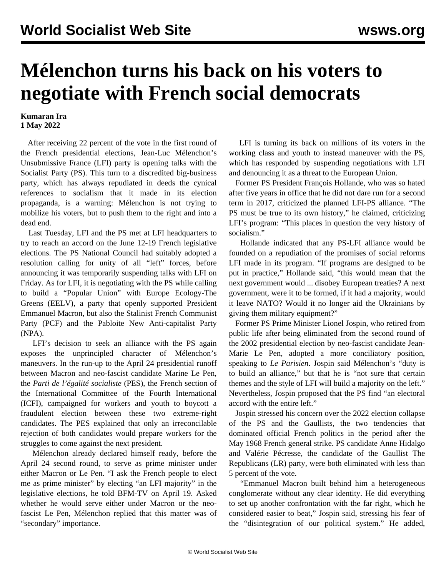## **Mélenchon turns his back on his voters to negotiate with French social democrats**

## **Kumaran Ira 1 May 2022**

 After receiving 22 percent of the vote in the first round of the French presidential elections, Jean-Luc Mélenchon's Unsubmissive France (LFI) party is opening talks with the Socialist Party (PS). This turn to a discredited big-business party, which has always repudiated in deeds the cynical references to socialism that it made in its election propaganda, is a warning: Mélenchon is not trying to mobilize his voters, but to push them to the right and into a dead end.

 Last Tuesday, LFI and the PS met at LFI headquarters to try to reach an accord on the June 12-19 French legislative elections. The PS National Council had suitably adopted a resolution calling for unity of all "left" forces, before announcing it was temporarily suspending talks with LFI on Friday. As for LFI, it is negotiating with the PS while calling to build a "Popular Union" with Europe Ecology-The Greens (EELV), a party that openly supported President Emmanuel Macron, but also the Stalinist French Communist Party (PCF) and the Pabloite New Anti-capitalist Party (NPA).

 LFI's decision to seek an alliance with the PS again exposes the unprincipled character of Mélenchon's maneuvers. In the run-up to the April 24 presidential runoff between Macron and neo-fascist candidate Marine Le Pen, the *Parti de l'égalité socialiste* (PES), the French section of the International Committee of the Fourth International (ICFI), campaigned for workers and youth to boycott a fraudulent election between these two extreme-right candidates. The PES explained that only an irreconcilable rejection of both candidates would prepare workers for the struggles to come against the next president.

 Mélenchon already declared himself ready, before the April 24 second round, to serve as prime minister under either Macron or Le Pen. "I ask the French people to elect me as prime minister" by electing "an LFI majority" in the legislative elections, he told BFM-TV on April 19. Asked whether he would serve either under Macron or the neofascist Le Pen, Mélenchon replied that this matter was of "secondary" importance.

 LFI is turning its back on millions of its voters in the working class and youth to instead maneuver with the PS, which has responded by suspending negotiations with LFI and denouncing it as a threat to the European Union.

 Former PS President François Hollande, who was so hated after five years in office that he did not dare run for a second term in 2017, criticized the planned LFI-PS alliance. "The PS must be true to its own history," he claimed, criticizing LFI's program: "This places in question the very history of socialism."

 Hollande indicated that any PS-LFI alliance would be founded on a repudiation of the promises of social reforms LFI made in its program. "If programs are designed to be put in practice," Hollande said, "this would mean that the next government would ... disobey European treaties? A next government, were it to be formed, if it had a majority, would it leave NATO? Would it no longer aid the Ukrainians by giving them military equipment?"

 Former PS Prime Minister Lionel Jospin, who retired from public life after being eliminated from the second round of the 2002 presidential election by neo-fascist candidate Jean-Marie Le Pen, adopted a more conciliatory position, speaking to *Le Parisien*. Jospin said Mélenchon's "duty is to build an alliance," but that he is "not sure that certain themes and the style of LFI will build a majority on the left." Nevertheless, Jospin proposed that the PS find "an electoral accord with the entire left."

 Jospin stressed his concern over the 2022 election collapse of the PS and the Gaullists, the two tendencies that dominated official French politics in the period after the May 1968 French general strike. PS candidate Anne Hidalgo and Valérie Pécresse, the candidate of the Gaullist The Republicans (LR) party, were both eliminated with less than 5 percent of the vote.

 "Emmanuel Macron built behind him a heterogeneous conglomerate without any clear identity. He did everything to set up another confrontation with the far right, which he considered easier to beat," Jospin said, stressing his fear of the "disintegration of our political system." He added,